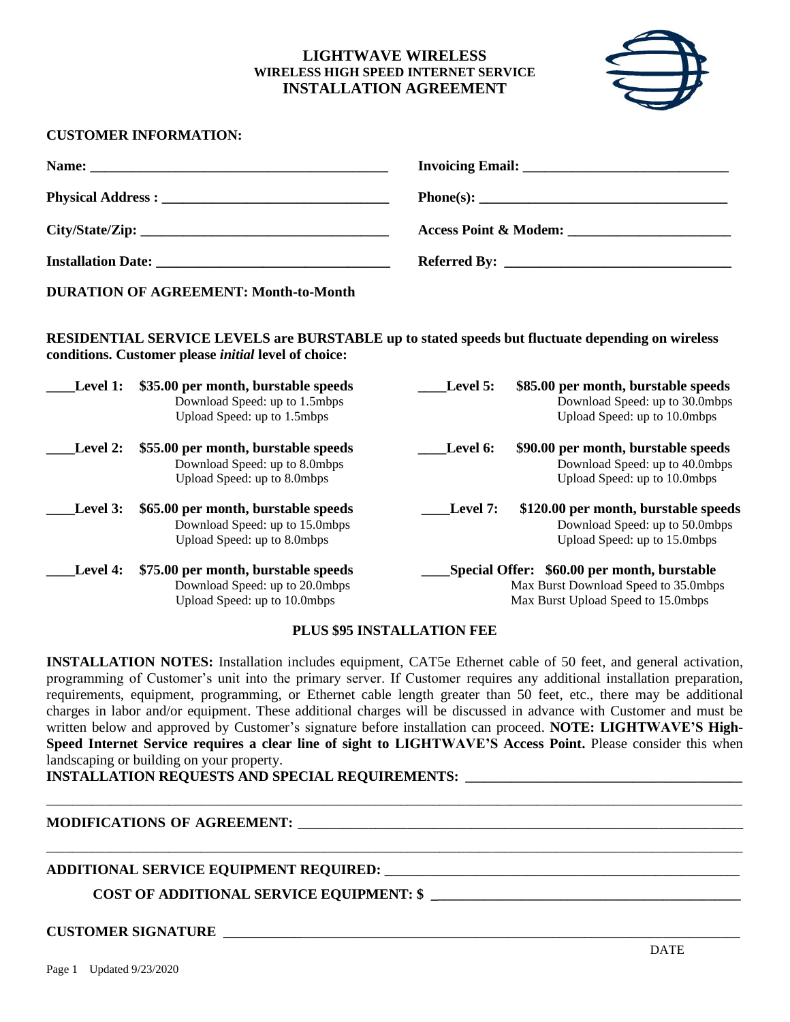# **LIGHTWAVE WIRELESS WIRELESS HIGH SPEED INTERNET SERVICE INSTALLATION AGREEMENT**



## **CUSTOMER INFORMATION:**

| <b>Installation Date:</b> The contract of the contract of the contract of the contract of the contract of the contract of the contract of the contract of the contract of the contract of the contract of the contract of the contr |  |
|-------------------------------------------------------------------------------------------------------------------------------------------------------------------------------------------------------------------------------------|--|

**DURATION OF AGREEMENT: Month-to-Month**

**RESIDENTIAL SERVICE LEVELS are BURSTABLE up to stated speeds but fluctuate depending on wireless conditions. Customer please** *initial* **level of choice:**

| Level 1: | \$35.00 per month, burstable speeds<br>Download Speed: up to 1.5mbps<br>Upload Speed: up to 1.5mbps   | \$85.00 per month, burstable speeds<br>Level 5:<br>Download Speed: up to 30.0mbps<br>Upload Speed: up to 10.0mbps         |
|----------|-------------------------------------------------------------------------------------------------------|---------------------------------------------------------------------------------------------------------------------------|
| Level 2: | \$55.00 per month, burstable speeds<br>Download Speed: up to 8.0mbps<br>Upload Speed: up to 8.0mbps   | \$90.00 per month, burstable speeds<br>Level 6:<br>Download Speed: up to 40.0mbps<br>Upload Speed: up to 10.0mbps         |
| Level 3: | \$65.00 per month, burstable speeds<br>Download Speed: up to 15.0mbps<br>Upload Speed: up to 8.0mbps  | \$120.00 per month, burstable speeds<br>Level 7:<br>Download Speed: up to 50.0mbps<br>Upload Speed: up to 15.0mbps        |
| Level 4: | \$75.00 per month, burstable speeds<br>Download Speed: up to 20.0mbps<br>Upload Speed: up to 10.0mbps | Special Offer: \$60.00 per month, burstable<br>Max Burst Download Speed to 35.0mbps<br>Max Burst Upload Speed to 15.0mbps |

#### **PLUS \$95 INSTALLATION FEE**

**INSTALLATION NOTES:** Installation includes equipment, CAT5e Ethernet cable of 50 feet, and general activation, programming of Customer's unit into the primary server. If Customer requires any additional installation preparation, requirements, equipment, programming, or Ethernet cable length greater than 50 feet, etc., there may be additional charges in labor and/or equipment. These additional charges will be discussed in advance with Customer and must be written below and approved by Customer's signature before installation can proceed. **NOTE: LIGHTWAVE'S High-Speed Internet Service requires a clear line of sight to LIGHTWAVE'S Access Point.** Please consider this when landscaping or building on your property.

\_\_\_\_\_\_\_\_\_\_\_\_\_\_\_\_\_\_\_\_\_\_\_\_\_\_\_\_\_\_\_\_\_\_\_\_\_\_\_\_\_\_\_\_\_\_\_\_\_\_\_\_\_\_\_\_\_\_\_\_\_\_\_\_\_\_\_\_\_\_\_\_\_\_\_\_\_\_\_\_\_\_\_\_\_\_\_\_\_\_\_\_\_\_\_\_\_\_\_\_\_\_\_\_\_\_\_\_

\_\_\_\_\_\_\_\_\_\_\_\_\_\_\_\_\_\_\_\_\_\_\_\_\_\_\_\_\_\_\_\_\_\_\_\_\_\_\_\_\_\_\_\_\_\_\_\_\_\_\_\_\_\_\_\_\_\_\_\_\_\_\_\_\_\_\_\_\_\_\_\_\_\_\_\_\_\_\_\_\_\_\_\_\_\_\_\_\_\_\_\_\_\_\_\_\_\_\_\_\_\_\_\_\_\_\_\_

**INSTALLATION REQUESTS AND SPECIAL REQUIREMENTS: \_\_\_\_\_\_\_\_\_\_\_\_\_\_\_\_\_\_\_\_\_\_\_\_\_\_\_\_\_\_\_\_\_\_\_\_\_\_\_\_\_\_\_**

## **MODIFICATIONS OF AGREEMENT: \_\_\_\_\_\_\_\_\_\_\_\_\_\_\_\_\_\_\_\_\_\_\_\_\_\_\_\_\_\_\_\_\_\_\_\_\_\_\_\_\_\_\_\_\_\_\_\_\_\_\_\_\_\_\_\_\_\_\_\_\_\_\_\_\_\_\_\_\_**

## **ADDITIONAL SERVICE EQUIPMENT REQUIRED: \_\_\_\_\_\_\_\_\_\_\_\_\_\_\_\_\_\_\_\_\_\_\_\_\_\_\_\_\_\_\_\_\_\_\_\_\_\_\_\_\_\_\_\_\_\_\_\_\_\_\_\_\_\_\_**

**COST OF ADDITIONAL SERVICE EQUIPMENT: \$ \_\_\_\_\_\_\_\_\_\_\_\_\_\_\_\_\_\_\_\_\_\_\_\_\_\_\_\_\_\_\_\_\_\_\_\_\_\_\_\_\_\_\_\_\_\_\_\_**

## **CUSTOMER SIGNATURE \_\_\_\_\_\_\_\_\_\_\_\_\_\_\_\_\_\_\_\_\_\_\_\_\_\_\_\_\_\_\_\_\_\_\_\_\_\_\_\_\_\_\_\_\_\_\_\_\_\_\_\_\_\_\_\_\_\_\_\_\_\_\_\_\_\_\_\_\_\_\_\_\_\_\_\_\_\_\_**